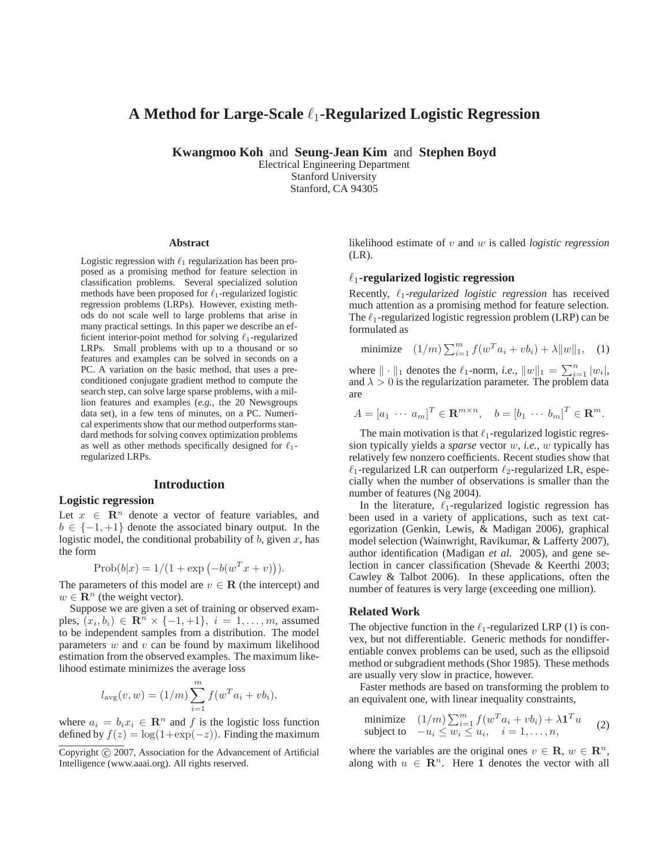# **A Method for Large-Scale** ℓ1**-Regularized Logistic Regression**

**Kwangmoo Koh** and **Seung-Jean Kim** and **Stephen Boyd**

Electrical Engineering Department Stanford University Stanford, CA 94305

#### **Abstract**

Logistic regression with  $\ell_1$  regularization has been proposed as a promising method for feature selection in classification problems. Several specialized solution methods have been proposed for  $\ell_1$ -regularized logistic regression problems (LRPs). However, existing methods do not scale well to large problems that arise in many practical settings. In this paper we describe an efficient interior-point method for solving  $\ell_1$ -regularized LRPs. Small problems with up to a thousand or so features and examples can be solved in seconds on a PC. A variation on the basic method, that uses a preconditioned conjugate gradient method to compute the search step, can solve large sparse problems, with a million features and examples (*e.g.*, the 20 Newsgroups data set), in a few tens of minutes, on a PC. Numerical experiments show that our method outperforms standard methods for solving convex optimization problems as well as other methods specifically designed for  $\ell_1$ regularized LRPs.

#### **Introduction**

### **Logistic regression**

Let  $x \in \mathbb{R}^n$  denote a vector of feature variables, and  $b \in \{-1, +1\}$  denote the associated binary output. In the logistic model, the conditional probability of  $b$ , given  $x$ , has the form

$$
Prob(b|x) = 1/(1 + exp(-b(wT x + v))).
$$

The parameters of this model are  $v \in \mathbf{R}$  (the intercept) and  $w \in \mathbb{R}^n$  (the weight vector).

Suppose we are given a set of training or observed examples,  $(x_i, b_i) \in \mathbb{R}^n \times \{-1, +1\}, i = 1, \ldots, m$ , assumed to be independent samples from a distribution. The model parameters  $w$  and  $v$  can be found by maximum likelihood estimation from the observed examples. The maximum likelihood estimate minimizes the average loss

$$
l_{\text{avg}}(v, w) = (1/m) \sum_{i=1}^{m} f(w^T a_i + v b_i),
$$

where  $a_i = b_i x_i \in \mathbb{R}^n$  and f is the logistic loss function defined by  $f(z) = \log(1+\exp(-z))$ . Finding the maximum likelihood estimate of v and w is called *logistic regression* (LR).

### ℓ1**-regularized logistic regression**

Recently, ℓ1*-regularized logistic regression* has received much attention as a promising method for feature selection. The  $\ell_1$ -regularized logistic regression problem (LRP) can be formulated as

minimize 
$$
(1/m) \sum_{i=1}^{m} f(w^T a_i + v b_i) + \lambda ||w||_1
$$
, (1)

where  $\|\cdot\|_1$  denotes the  $\ell_1$ -norm, *i.e.*,  $\|w\|_1 = \sum_{i=1}^n |w_i|$ , and  $\lambda > 0$  is the regularization parameter. The problem data are

$$
A = [a_1 \cdots a_m]^T \in \mathbf{R}^{m \times n}, \quad b = [b_1 \cdots b_m]^T \in \mathbf{R}^m.
$$

The main motivation is that  $\ell_1$ -regularized logistic regression typically yields a *sparse* vector w, *i.e.*, w typically has relatively few nonzero coefficients. Recent studies show that  $\ell_1$ -regularized LR can outperform  $\ell_2$ -regularized LR, especially when the number of observations is smaller than the number of features (Ng 2004).

In the literature,  $\ell_1$ -regularized logistic regression has been used in a variety of applications, such as text categorization (Genkin, Lewis, & Madigan 2006), graphical model selection (Wainwright, Ravikumar, & Lafferty 2007), author identification (Madigan *et al.* 2005), and gene selection in cancer classification (Shevade & Keerthi 2003; Cawley & Talbot 2006). In these applications, often the number of features is very large (exceeding one million).

### **Related Work**

The objective function in the  $\ell_1$ -regularized LRP (1) is convex, but not differentiable. Generic methods for nondifferentiable convex problems can be used, such as the ellipsoid method or subgradient methods (Shor 1985). These methods are usually very slow in practice, however.

Faster methods are based on transforming the problem to an equivalent one, with linear inequality constraints,

minimize 
$$
(1/m) \sum_{i=1}^{m} f(w^T a_i + v b_i) + \lambda \mathbf{1}^T u
$$
  
subject to  $-u_i \leq w_i \leq u_i$ ,  $i = 1,..., n$ , (2)

where the variables are the original ones  $v \in \mathbb{R}$ ,  $w \in \mathbb{R}^n$ , along with  $u \in \mathbb{R}^n$ . Here 1 denotes the vector with all

Copyright (c) 2007, Association for the Advancement of Artificial Intelligence (www.aaai.org). All rights reserved.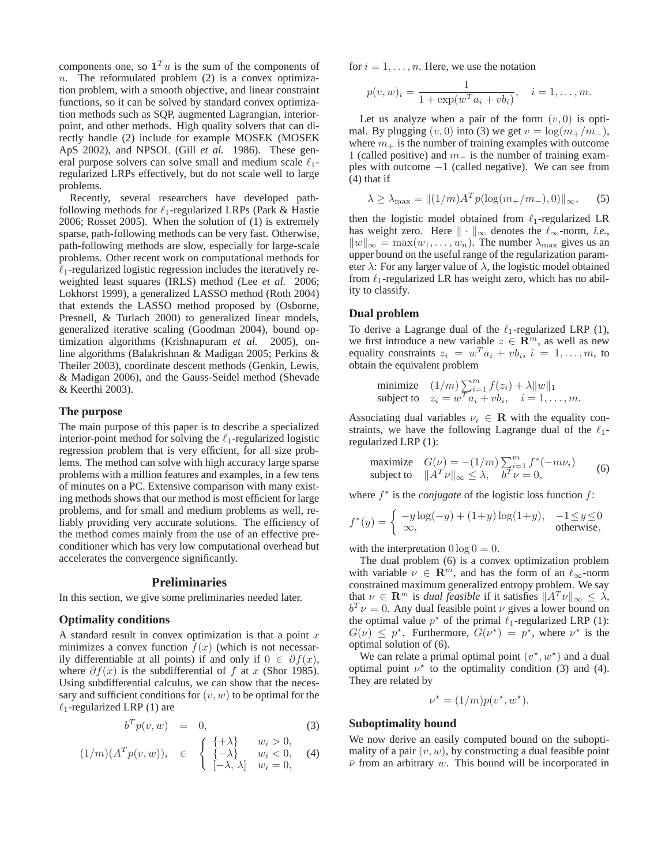components one, so  $\mathbf{1}^T u$  is the sum of the components of u. The reformulated problem  $(2)$  is a convex optimization problem, with a smooth objective, and linear constraint functions, so it can be solved by standard convex optimization methods such as SQP, augmented Lagrangian, interiorpoint, and other methods. High quality solvers that can directly handle (2) include for example MOSEK (MOSEK ApS 2002), and NPSOL (Gill *et al.* 1986). These general purpose solvers can solve small and medium scale  $\ell_1$ regularized LRPs effectively, but do not scale well to large problems.

Recently, several researchers have developed pathfollowing methods for  $\ell_1$ -regularized LRPs (Park & Hastie 2006; Rosset 2005). When the solution of (1) is extremely sparse, path-following methods can be very fast. Otherwise, path-following methods are slow, especially for large-scale problems. Other recent work on computational methods for  $\ell_1$ -regularized logistic regression includes the iteratively reweighted least squares (IRLS) method (Lee *et al.* 2006; Lokhorst 1999), a generalized LASSO method (Roth 2004) that extends the LASSO method proposed by (Osborne, Presnell, & Turlach 2000) to generalized linear models, generalized iterative scaling (Goodman 2004), bound optimization algorithms (Krishnapuram *et al.* 2005), online algorithms (Balakrishnan & Madigan 2005; Perkins & Theiler 2003), coordinate descent methods (Genkin, Lewis, & Madigan 2006), and the Gauss-Seidel method (Shevade & Keerthi 2003).

#### **The purpose**

The main purpose of this paper is to describe a specialized interior-point method for solving the  $\ell_1$ -regularized logistic regression problem that is very efficient, for all size problems. The method can solve with high accuracy large sparse problems with a million features and examples, in a few tens of minutes on a PC. Extensive comparison with many existing methods shows that our method is most efficient for large problems, and for small and medium problems as well, reliably providing very accurate solutions. The efficiency of the method comes mainly from the use of an effective preconditioner which has very low computational overhead but accelerates the convergence significantly.

### **Preliminaries**

In this section, we give some preliminaries needed later.

#### **Optimality conditions**

A standard result in convex optimization is that a point  $x$ minimizes a convex function  $f(x)$  (which is not necessarily differentiable at all points) if and only if  $0 \in \partial f(x)$ , where  $\partial f(x)$  is the subdifferential of f at x (Shor 1985). Using subdifferential calculus, we can show that the necessary and sufficient conditions for  $(v, w)$  to be optimal for the  $\ell_1$ -regularized LRP (1) are

$$
b^T p(v, w) = 0, \tag{3}
$$

$$
(1/m)(ATp(v, w))i \in \begin{cases} {\{+\lambda\}} & w_i > 0, \\ {\{-\lambda\}} & w_i < 0, \\ [-\lambda, \lambda] & w_i = 0, \end{cases}
$$
(4)

for  $i = 1, \ldots, n$ . Here, we use the notation

$$
p(v, w)_i = \frac{1}{1 + \exp(w^T a_i + v b_i)}, \quad i = 1, ..., m.
$$

Let us analyze when a pair of the form  $(v, 0)$  is optimal. By plugging  $(v, 0)$  into (3) we get  $v = \log(m_{+}/m_{-}),$ where  $m_+$  is the number of training examples with outcome 1 (called positive) and  $m_$  is the number of training examples with outcome  $-1$  (called negative). We can see from  $(4)$  that if

$$
\lambda \ge \lambda_{\max} = \left\| (1/m)A^T p(\log(m_+/m_-), 0) \right\|_{\infty}, \qquad (5)
$$

then the logistic model obtained from  $\ell_1$ -regularized LR has weight zero. Here  $\|\cdot\|_{\infty}$  denotes the  $\ell_{\infty}$ -norm, *i.e.*,  $||w||_{\infty} = \max(w_1, \ldots, w_n)$ . The number  $\lambda_{\max}$  gives us an upper bound on the useful range of the regularization parameter  $\lambda$ : For any larger value of  $\lambda$ , the logistic model obtained from  $\ell_1$ -regularized LR has weight zero, which has no ability to classify.

#### **Dual problem**

To derive a Lagrange dual of the  $\ell_1$ -regularized LRP (1), we first introduce a new variable  $z \in \mathbb{R}^m$ , as well as new equality constraints  $z_i = w^T a_i + v b_i$ ,  $i = 1, ..., m$ , to obtain the equivalent problem

minimize 
$$
(1/m)\sum_{i=1}^{m} f(z_i) + \lambda ||w||_1
$$
  
subject to  $z_i = w^T a_i + v b_i$ ,  $i = 1,..., m$ .

Associating dual variables  $\nu_i \in \mathbf{R}$  with the equality constraints, we have the following Lagrange dual of the  $\ell_1$ regularized LRP (1):

maximize 
$$
G(\nu) = -(1/m) \sum_{i=1}^{m} f^*(-m\nu_i)
$$
  
subject to  $||A^T\nu||_{\infty} \le \lambda$ ,  $b^T\nu = 0$ , (6)

where  $f^*$  is the *conjugate* of the logistic loss function  $f$ :

$$
f^*(y) = \begin{cases} -y\log(-y) + (1+y)\log(1+y), & -1 \le y \le 0\\ \infty, & \text{otherwise,} \end{cases}
$$

with the interpretation  $0 \log 0 = 0$ .

The dual problem (6) is a convex optimization problem with variable  $\nu \in \mathbb{R}^m$ , and has the form of an  $\ell_{\infty}$ -norm constrained maximum generalized entropy problem. We say that  $\nu \in \mathbf{R}^m$  is *dual feasible* if it satisfies  $||A^T \nu||_{\infty} \leq \lambda$ ,  $b^T \nu = 0$ . Any dual feasible point  $\nu$  gives a lower bound on the optimal value  $p^*$  of the primal  $\ell_1$ -regularized LRP (1):  $G(\nu) \leq p^*$ . Furthermore,  $G(\nu^*) = p^*$ , where  $\nu^*$  is the optimal solution of (6).

We can relate a primal optimal point  $(v^*, w^*)$  and a dual optimal point  $\nu^*$  to the optimality condition (3) and (4). They are related by

$$
\nu^* = (1/m)p(v^*, w^*).
$$

#### **Suboptimality bound**

We now derive an easily computed bound on the suboptimality of a pair  $(v, w)$ , by constructing a dual feasible point  $\bar{\nu}$  from an arbitrary w. This bound will be incorporated in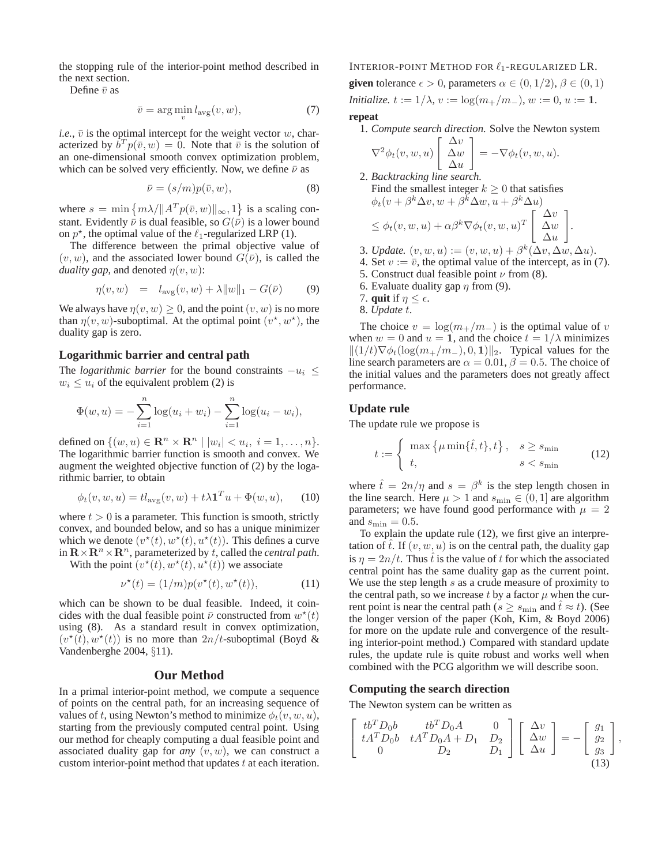the stopping rule of the interior-point method described in the next section.

Define  $\bar{v}$  as

$$
\bar{v} = \arg\min_{v} l_{\text{avg}}(v, w),\tag{7}
$$

*i.e.*,  $\bar{v}$  is the optimal intercept for the weight vector w, characterized by  $\dot{b}^T p(\bar{v}, w) = 0$ . Note that  $\dot{\bar{v}}$  is the solution of an one-dimensional smooth convex optimization problem, which can be solved very efficiently. Now, we define  $\bar{\nu}$  as

$$
\bar{\nu} = (s/m)p(\bar{v}, w), \tag{8}
$$

where  $s = \min \{ m \lambda / \| A^T p(\bar{v}, w) \|_{\infty}, 1 \}$  is a scaling constant. Evidently  $\bar{\nu}$  is dual feasible, so  $G(\bar{\nu})$  is a lower bound on  $p^*$ , the optimal value of the  $\ell_1$ -regularized LRP (1).

The difference between the primal objective value of  $(v, w)$ , and the associated lower bound  $G(\bar{v})$ , is called the *duality gap*, and denoted  $\eta(v, w)$ :

$$
\eta(v, w) = l_{\text{avg}}(v, w) + \lambda ||w||_1 - G(\bar{v}) \tag{9}
$$

We always have  $\eta(v, w) > 0$ , and the point  $(v, w)$  is no more than  $\eta(v, w)$ -suboptimal. At the optimal point  $(v^*, w^*)$ , the duality gap is zero.

## **Logarithmic barrier and central path**

The *logarithmic barrier* for the bound constraints  $-u_i \leq$  $w_i \leq u_i$  of the equivalent problem (2) is

$$
\Phi(w, u) = -\sum_{i=1}^{n} \log(u_i + w_i) - \sum_{i=1}^{n} \log(u_i - w_i),
$$

defined on  $\{(w, u) \in \mathbb{R}^n \times \mathbb{R}^n \mid |w_i| < u_i, i = 1, \dots, n\}.$ The logarithmic barrier function is smooth and convex. We augment the weighted objective function of (2) by the logarithmic barrier, to obtain

$$
\phi_t(v, w, u) = t l_{\text{avg}}(v, w) + t \lambda \mathbf{1}^T u + \Phi(w, u), \qquad (10)
$$

where  $t > 0$  is a parameter. This function is smooth, strictly convex, and bounded below, and so has a unique minimizer which we denote  $(v^*(t), w^*(t), u^*(t))$ . This defines a curve in  $\mathbf{R} \times \mathbf{R}^n \times \mathbf{R}^n$ , parameterized by t, called the *central path*.

With the point  $(v^*(t), w^*(t), u^*(t))$  we associate

$$
\nu^*(t) = (1/m)p(v^*(t), w^*(t)),
$$
\n(11)

which can be shown to be dual feasible. Indeed, it coincides with the dual feasible point  $\bar{\nu}$  constructed from  $w^*(t)$ using (8). As a standard result in convex optimization,  $(v^{\star}(\tilde{t}), w^{\star}(t))$  is no more than  $2n/t$ -suboptimal (Boyd & Vandenberghe 2004, §11).

### **Our Method**

In a primal interior-point method, we compute a sequence of points on the central path, for an increasing sequence of values of t, using Newton's method to minimize  $\phi_t(v, w, u)$ , starting from the previously computed central point. Using our method for cheaply computing a dual feasible point and associated duality gap for *any*  $(v, w)$ , we can construct a custom interior-point method that updates  $t$  at each iteration.

INTERIOR-POINT METHOD FOR ℓ1-REGULARIZED LR.

**given** tolerance  $\epsilon > 0$ , parameters  $\alpha \in (0, 1/2), \beta \in (0, 1)$ *Initialize.*  $t := 1/\lambda$ ,  $v := \log(m_+/m_-)$ ,  $w := 0$ ,  $u := 1$ .

#### **repeat**

1. *Compute search direction.* Solve the Newton system

$$
\nabla^2 \phi_t(v, w, u) \begin{bmatrix} \Delta v \\ \Delta w \\ \Delta u \end{bmatrix} = -\nabla \phi_t(v, w, u).
$$

2. Backtracking line search.  
\nFind the smallest integer 
$$
k \ge 0
$$
 that satisfies  
\n
$$
\phi_t(v + \beta^k \Delta v, w + \beta^k \Delta w, u + \beta^k \Delta u)
$$
\n
$$
\leq \phi_t(v, w, u) + \alpha \beta^k \nabla \phi_t(v, w, u)^T \begin{bmatrix} \Delta v \\ \Delta w \\ \Delta u \end{bmatrix}.
$$

3. Update. 
$$
(v, w, u) := (v, w, u) + \beta^k(\Delta v, \Delta w, \Delta u)
$$
.

4. Set  $v := \overline{v}$ , the optimal value of the intercept, as in (7).

5. Construct dual feasible point  $\nu$  from (8).

- 6. Evaluate duality gap  $\eta$  from (9).
- 7. **quit** if  $\eta \leq \epsilon$ .
- 8. *Update* t.

The choice  $v = \log(m_{+}/m_{-})$  is the optimal value of v when  $w = 0$  and  $u = 1$ , and the choice  $t = 1/\lambda$  minimizes  $||(1/t)\nabla\phi_t(\log(m_+/m_-), 0, 1)||_2$ . Typical values for the line search parameters are  $\alpha = 0.01$ ,  $\beta = 0.5$ . The choice of the initial values and the parameters does not greatly affect performance.

### **Update rule**

The update rule we propose is

$$
t := \begin{cases} \max\left\{\mu \min\{\hat{t}, t\}, t\right\}, & s \ge s_{\min} \\ t, & s < s_{\min} \end{cases}
$$
(12)

where  $\hat{t} = 2n/\eta$  and  $s = \beta^k$  is the step length chosen in the line search. Here  $\mu > 1$  and  $s_{\min} \in (0, 1]$  are algorithm parameters; we have found good performance with  $\mu = 2$ and  $s_{\text{min}} = 0.5$ .

To explain the update rule (12), we first give an interpretation of  $\hat{t}$ . If  $(v, w, u)$  is on the central path, the duality gap is  $\eta = 2n/t$ . Thus  $\hat{t}$  is the value of t for which the associated central point has the same duality gap as the current point. We use the step length  $s$  as a crude measure of proximity to the central path, so we increase  $t$  by a factor  $\mu$  when the current point is near the central path ( $s \geq s_{\text{min}}$  and  $\hat{t} \approx t$ ). (See the longer version of the paper (Koh, Kim, & Boyd 2006) for more on the update rule and convergence of the resulting interior-point method.) Compared with standard update rules, the update rule is quite robust and works well when combined with the PCG algorithm we will describe soon.

### **Computing the search direction**

The Newton system can be written as

$$
\begin{bmatrix} tb^T D_0b & tb^T D_0A & 0 \ tA^T D_0b & tA^T D_0A + D_1 & D_2 \ 0 & D_2 & D_1 \end{bmatrix} \begin{bmatrix} \Delta v \\ \Delta w \\ \Delta u \end{bmatrix} = - \begin{bmatrix} g_1 \\ g_2 \\ g_3 \end{bmatrix},
$$
\n(13)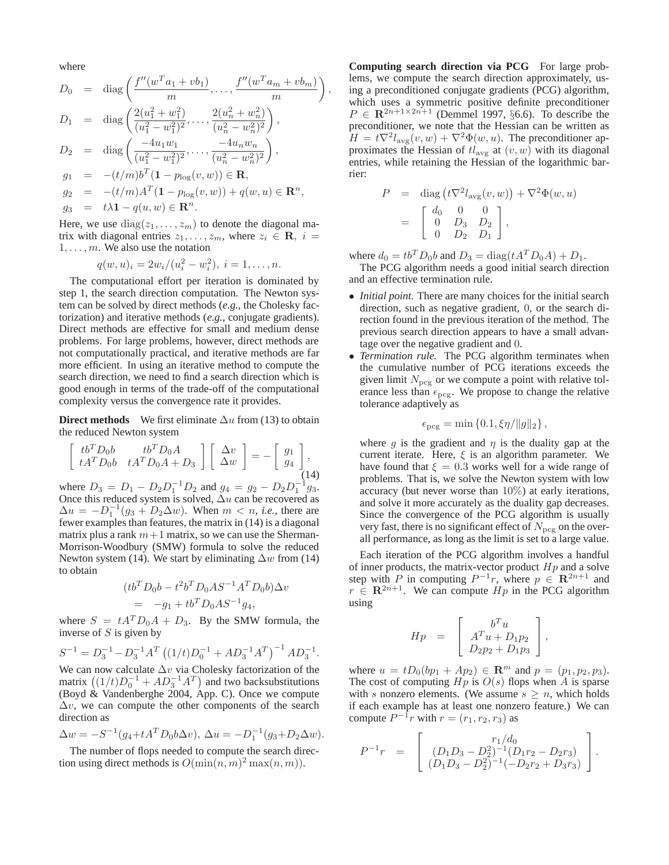where

$$
D_0 = \text{diag}\left(\frac{f''(w^T a_1 + vb_1)}{m}, \dots, \frac{f''(w^T a_m + vb_m)}{m}\right)
$$
  
\n
$$
D_1 = \text{diag}\left(\frac{2(u_1^2 + w_1^2)}{(u_1^2 - w_1^2)^2}, \dots, \frac{2(u_n^2 + w_n^2)}{(u_n^2 - w_n^2)^2}\right),
$$
  
\n
$$
D_2 = \text{diag}\left(\frac{-4u_1w_1}{(u_1^2 - w_1^2)^2}, \dots, \frac{-4u_nw_n}{(u_n^2 - w_n^2)^2}\right),
$$
  
\n
$$
g_1 = -(t/m)b^T(1 - p_{\log}(v, w)) \in \mathbb{R},
$$
  
\n
$$
g_2 = -(t/m)A^T(1 - p_{\log}(v, w)) + q(w, u) \in \mathbb{R}^n,
$$
  
\n
$$
g_3 = t\lambda 1 - q(u, w) \in \mathbb{R}^n.
$$

,

Here, we use  $diag(z_1, \ldots, z_m)$  to denote the diagonal matrix with diagonal entries  $z_1, \ldots, z_m$ , where  $z_i \in \mathbf{R}, i =$  $1, \ldots, m$ . We also use the notation

$$
q(w, u)_i = 2w_i/(u_i^2 - w_i^2), \ i = 1, \dots, n.
$$

The computational effort per iteration is dominated by step 1, the search direction computation. The Newton system can be solved by direct methods (*e.g.*, the Cholesky factorization) and iterative methods (*e.g.*, conjugate gradients). Direct methods are effective for small and medium dense problems. For large problems, however, direct methods are not computationally practical, and iterative methods are far more efficient. In using an iterative method to compute the search direction, we need to find a search direction which is good enough in terms of the trade-off of the computational complexity versus the convergence rate it provides.

**Direct methods** We first eliminate  $\Delta u$  from (13) to obtain the reduced Newton system

$$
\begin{bmatrix} tb^T D_0b & tb^T D_0A \\ tA^T D_0b & tA^T D_0A + D_3 \end{bmatrix} \begin{bmatrix} \Delta v \\ \Delta w \end{bmatrix} = - \begin{bmatrix} g_1 \\ g_4 \end{bmatrix},
$$
\n(14)

where  $D_3 = D_1 - D_2 D_1^{-1} D_2$  and  $g_4 = g_2 - D_2 D_1^{-1} g_3$ . Once this reduced system is solved,  $\Delta u$  can be recovered as  $\Delta u = -D_1^{-1}(g_3 + D_2\Delta w)$ . When  $m < n$ , *i.e.*, there are fewer examples than features, the matrix in (14) is a diagonal matrix plus a rank  $m+1$  matrix, so we can use the Sherman-Morrison-Woodbury (SMW) formula to solve the reduced Newton system (14). We start by eliminating  $\Delta w$  from (14) to obtain

$$
(tb^T D_0 b - t^2 b^T D_0 A S^{-1} A^T D_0 b) \Delta v
$$
  
= -g<sub>1</sub> + tb<sup>T</sup> D<sub>0</sub> A S<sup>-1</sup> g<sub>4</sub>,

where  $S = tA^{T}D_{0}A + D_{3}$ . By the SMW formula, the inverse of  $S$  is given by

 $S^{-1} = D_3^{-1} - D_3^{-1}A^T((1/t)D_0^{-1} + AD_3^{-1}A^T)^{-1}AD_3^{-1}.$ 

We can now calculate  $\Delta v$  via Cholesky factorization of the matrix  $((1/t)D_0^{-1} + AD_3^{-1}A^T)$  and two backsubstitutions (Boyd & Vandenberghe 2004, App. C). Once we compute  $\Delta v$ , we can compute the other components of the search direction as

$$
\Delta w = -S^{-1}(g_4 + tA^T D_0 b \Delta v), \ \Delta u = -D_1^{-1}(g_3 + D_2 \Delta w).
$$

The number of flops needed to compute the search direction using direct methods is  $O(\min(n, m)^2 \max(n, m)).$ 

**Computing search direction via PCG** For large problems, we compute the search direction approximately, using a preconditioned conjugate gradients (PCG) algorithm, which uses a symmetric positive definite preconditioner  $P \in \mathbb{R}^{2n+1 \times 2n+1}$  (Demmel 1997, §6.6). To describe the preconditioner, we note that the Hessian can be written as  $H = t\nabla^2 l_{\text{avg}}(v, w) + \nabla^2 \Phi(w, u)$ . The preconditioner approximates the Hessian of  $tl_{\text{avg}}$  at  $(v, w)$  with its diagonal entries, while retaining the Hessian of the logarithmic barrier:

$$
P = \text{diag}(t\nabla^2 l_{\text{avg}}(v, w)) + \nabla^2 \Phi(w, u)
$$
  
=  $\begin{bmatrix} d_0 & 0 & 0 \\ 0 & D_3 & D_2 \\ 0 & D_2 & D_1 \end{bmatrix}$ ,

where  $d_0 = tb^T D_0b$  and  $D_3 = \text{diag}(tA^T D_0A) + D_1$ .

The PCG algorithm needs a good initial search direction and an effective termination rule.

- *Initial point.* There are many choices for the initial search direction, such as negative gradient, 0, or the search direction found in the previous iteration of the method. The previous search direction appears to have a small advantage over the negative gradient and 0.
- *Termination rule.* The PCG algorithm terminates when the cumulative number of PCG iterations exceeds the given limit  $N_{\text{pcg}}$  or we compute a point with relative tolerance less than  $\epsilon_{\text{pcg}}$ . We propose to change the relative tolerance adaptively as

$$
\epsilon_{\text{pcg}} = \min\left\{0.1, \xi\eta/\|g\|_2\right\},\
$$

where g is the gradient and  $\eta$  is the duality gap at the current iterate. Here,  $\xi$  is an algorithm parameter. We have found that  $\xi = 0.3$  works well for a wide range of problems. That is, we solve the Newton system with low accuracy (but never worse than 10%) at early iterations, and solve it more accurately as the duality gap decreases. Since the convergence of the PCG algorithm is usually very fast, there is no significant effect of  $N_{\text{pcg}}$  on the overall performance, as long as the limit is set to a large value.

Each iteration of the PCG algorithm involves a handful of inner products, the matrix-vector product  $Hp$  and a solve step with P in computing  $P^{-1}r$ , where  $p \in \mathbb{R}^{2n+1}$  and  $r \in \mathbb{R}^{2n+1}$ . We can compute  $Hp$  in the PCG algorithm using

$$
Hp = \begin{bmatrix} b^T u \\ A^T u + D_1 p_2 \\ D_2 p_2 + D_1 p_3 \end{bmatrix},
$$

where  $u = tD_0(bp_1 + Ap_2) \in \mathbb{R}^m$  and  $p = (p_1, p_2, p_3)$ . The cost of computing  $Hp$  is  $O(s)$  flops when A is sparse with s nonzero elements. (We assume  $s \geq n$ , which holds if each example has at least one nonzero feature.) We can compute  $P^{-1}r$  with  $r = (r_1, r_2, r_3)$  as

$$
P^{-1}r = \begin{bmatrix} r_1/d_0 \\ (D_1D_3 - D_2^2)^{-1}(D_1r_2 - D_2r_3) \\ (D_1D_3 - D_2^2)^{-1}(-D_2r_2 + D_3r_3) \end{bmatrix}.
$$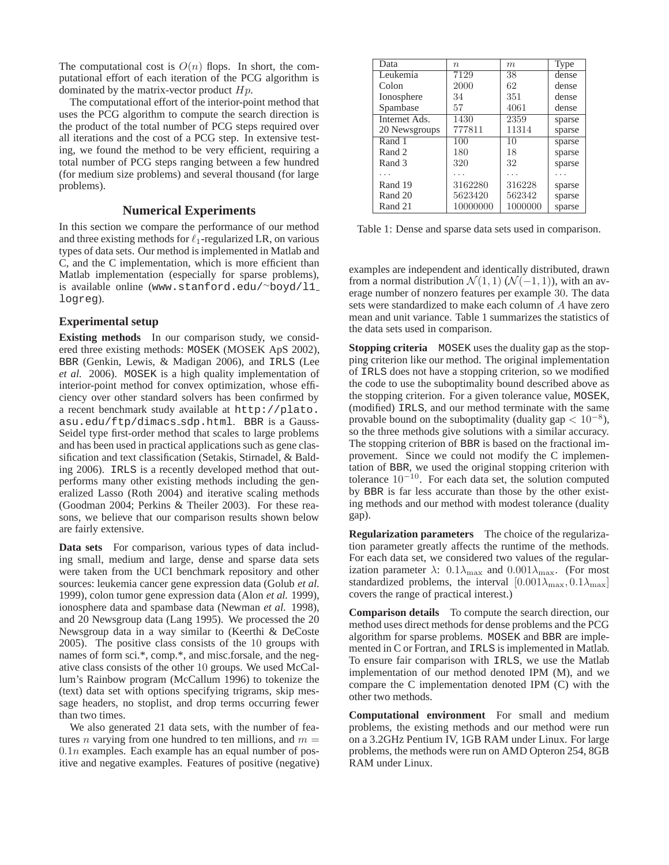The computational cost is  $O(n)$  flops. In short, the computational effort of each iteration of the PCG algorithm is dominated by the matrix-vector product  $Hp$ .

The computational effort of the interior-point method that uses the PCG algorithm to compute the search direction is the product of the total number of PCG steps required over all iterations and the cost of a PCG step. In extensive testing, we found the method to be very efficient, requiring a total number of PCG steps ranging between a few hundred (for medium size problems) and several thousand (for large problems).

### **Numerical Experiments**

In this section we compare the performance of our method and three existing methods for  $\ell_1$ -regularized LR, on various types of data sets. Our method is implemented in Matlab and C, and the C implementation, which is more efficient than Matlab implementation (especially for sparse problems), is available online (www.stanford.edu/<sup>∼</sup>boyd/l1 logreg).

### **Experimental setup**

**Existing methods** In our comparison study, we considered three existing methods: MOSEK (MOSEK ApS 2002), BBR (Genkin, Lewis, & Madigan 2006), and IRLS (Lee *et al.* 2006). MOSEK is a high quality implementation of interior-point method for convex optimization, whose efficiency over other standard solvers has been confirmed by a recent benchmark study available at http://plato. asu.edu/ftp/dimacs sdp.html. BBR is a Gauss-Seidel type first-order method that scales to large problems and has been used in practical applications such as gene classification and text classification (Setakis, Stirnadel, & Balding 2006). IRLS is a recently developed method that outperforms many other existing methods including the generalized Lasso (Roth 2004) and iterative scaling methods (Goodman 2004; Perkins & Theiler 2003). For these reasons, we believe that our comparison results shown below are fairly extensive.

**Data sets** For comparison, various types of data including small, medium and large, dense and sparse data sets were taken from the UCI benchmark repository and other sources: leukemia cancer gene expression data (Golub *et al.* 1999), colon tumor gene expression data (Alon *et al.* 1999), ionosphere data and spambase data (Newman *et al.* 1998), and 20 Newsgroup data (Lang 1995). We processed the 20 Newsgroup data in a way similar to (Keerthi & DeCoste 2005). The positive class consists of the 10 groups with names of form sci.\*, comp.\*, and misc.forsale, and the negative class consists of the other 10 groups. We used McCallum's Rainbow program (McCallum 1996) to tokenize the (text) data set with options specifying trigrams, skip message headers, no stoplist, and drop terms occurring fewer than two times.

We also generated 21 data sets, with the number of features *n* varying from one hundred to ten millions, and  $m =$  $0.1n$  examples. Each example has an equal number of positive and negative examples. Features of positive (negative)

| Data          | $\eta$   | m       | <b>Type</b> |
|---------------|----------|---------|-------------|
| Leukemia      | 7129     | 38      | dense       |
| Colon         | 2000     | 62      | dense       |
| Ionosphere    | 34       | 351     | dense       |
| Spambase      | 57       | 4061    | dense       |
| Internet Ads. | 1430     | 2359    | sparse      |
| 20 Newsgroups | 777811   | 11314   | sparse      |
| Rand 1        | 100      | 10      | sparse      |
| Rand 2        | 180      | 18      | sparse      |
| Rand 3        | 320      | 32      | sparse      |
|               |          |         |             |
| Rand 19       | 3162280  | 316228  | sparse      |
| Rand 20       | 5623420  | 562342  | sparse      |
| Rand 21       | 10000000 | 1000000 | sparse      |

Table 1: Dense and sparse data sets used in comparison.

examples are independent and identically distributed, drawn from a normal distribution  $\mathcal{N}(1,1)$  ( $\mathcal{N}(-1,1)$ ), with an average number of nonzero features per example 30. The data sets were standardized to make each column of A have zero mean and unit variance. Table 1 summarizes the statistics of the data sets used in comparison.

**Stopping criteria** MOSEK uses the duality gap as the stopping criterion like our method. The original implementation of IRLS does not have a stopping criterion, so we modified the code to use the suboptimality bound described above as the stopping criterion. For a given tolerance value, MOSEK, (modified) IRLS, and our method terminate with the same provable bound on the suboptimality (duality gap  $< 10^{-8}$ ), so the three methods give solutions with a similar accuracy. The stopping criterion of BBR is based on the fractional improvement. Since we could not modify the C implementation of BBR, we used the original stopping criterion with tolerance 10<sup>−</sup>10. For each data set, the solution computed by BBR is far less accurate than those by the other existing methods and our method with modest tolerance (duality gap).

**Regularization parameters** The choice of the regularization parameter greatly affects the runtime of the methods. For each data set, we considered two values of the regularization parameter  $\lambda$ :  $0.1\lambda_{\text{max}}$  and  $0.001\lambda_{\text{max}}$ . (For most standardized problems, the interval  $[0.001\lambda_{\text{max}}, 0.1\lambda_{\text{max}}]$ covers the range of practical interest.)

**Comparison details** To compute the search direction, our method uses direct methods for dense problems and the PCG algorithm for sparse problems. MOSEK and BBR are implemented in C or Fortran, and IRLS is implemented in Matlab. To ensure fair comparison with IRLS, we use the Matlab implementation of our method denoted IPM (M), and we compare the C implementation denoted IPM (C) with the other two methods.

**Computational environment** For small and medium problems, the existing methods and our method were run on a 3.2GHz Pentium IV, 1GB RAM under Linux. For large problems, the methods were run on AMD Opteron 254, 8GB RAM under Linux.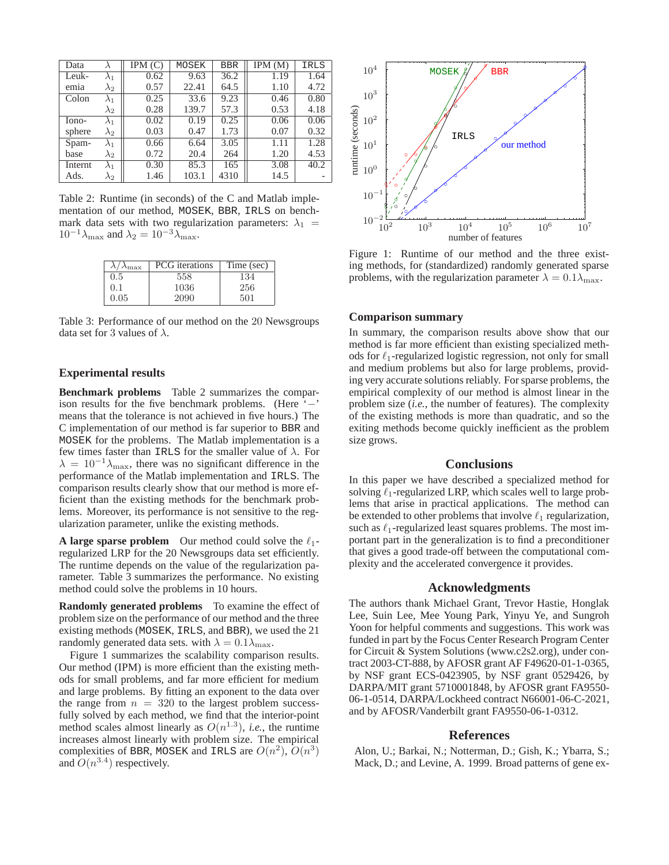| Data    |             | IPM(C) | MOSEK | <b>BBR</b> | IPM(M) | IRLS |
|---------|-------------|--------|-------|------------|--------|------|
| Leuk-   | $\lambda_1$ | 0.62   | 9.63  | 36.2       | 1.19   | 1.64 |
| emia    | $\lambda_2$ | 0.57   | 22.41 | 64.5       | 1.10   | 4.72 |
| Colon   | $\lambda_1$ | 0.25   | 33.6  | 9.23       | 0.46   | 0.80 |
|         | $\lambda_2$ | 0.28   | 139.7 | 57.3       | 0.53   | 4.18 |
| Iono-   | $\lambda_1$ | 0.02   | 0.19  | 0.25       | 0.06   | 0.06 |
| sphere  | $\lambda_2$ | 0.03   | 0.47  | 1.73       | 0.07   | 0.32 |
| Spam-   | $\lambda_1$ | 0.66   | 6.64  | 3.05       | 1.11   | 1.28 |
| base    | $\lambda_2$ | 0.72   | 20.4  | 264        | 1.20   | 4.53 |
| Internt | $\lambda_1$ | 0.30   | 85.3  | 165        | 3.08   | 40.2 |
| Ads.    | $\lambda_2$ | 1.46   | 103.1 | 4310       | 14.5   |      |

Table 2: Runtime (in seconds) of the C and Matlab implementation of our method, MOSEK, BBR, IRLS on benchmark data sets with two regularization parameters:  $\lambda_1$  =  $10^{-1}\lambda_{\text{max}}$  and  $\lambda_2 = 10^{-3}\lambda_{\text{max}}$ .

| $\lambda L$<br>$\lambda_{\rm max}$ | <b>PCG</b> iterations | Time (sec) |
|------------------------------------|-----------------------|------------|
| 0.5                                | 558                   | 134        |
| (0,1)                              | 1036                  | 256        |
| 0.05                               | 2090                  | 501        |

Table 3: Performance of our method on the 20 Newsgroups data set for 3 values of  $\lambda$ .

### **Experimental results**

**Benchmark problems** Table 2 summarizes the comparison results for the five benchmark problems. (Here '−' means that the tolerance is not achieved in five hours.) The C implementation of our method is far superior to BBR and MOSEK for the problems. The Matlab implementation is a few times faster than IRLS for the smaller value of  $\lambda$ . For  $\lambda = 10^{-1} \lambda_{\text{max}}$ , there was no significant difference in the performance of the Matlab implementation and IRLS. The comparison results clearly show that our method is more efficient than the existing methods for the benchmark problems. Moreover, its performance is not sensitive to the regularization parameter, unlike the existing methods.

**A large sparse problem** Our method could solve the  $\ell_1$ regularized LRP for the 20 Newsgroups data set efficiently. The runtime depends on the value of the regularization parameter. Table 3 summarizes the performance. No existing method could solve the problems in 10 hours.

**Randomly generated problems** To examine the effect of problem size on the performance of our method and the three existing methods (MOSEK, IRLS, and BBR), we used the 21 randomly generated data sets. with  $\lambda = 0.1 \lambda_{\text{max}}$ .

Figure 1 summarizes the scalability comparison results. Our method (IPM) is more efficient than the existing methods for small problems, and far more efficient for medium and large problems. By fitting an exponent to the data over the range from  $n = 320$  to the largest problem successfully solved by each method, we find that the interior-point method scales almost linearly as  $O(n^{1.3})$ , *i.e.*, the runtime increases almost linearly with problem size. The empirical complexities of BBR, MOSEK and IRLS are  $O(n^2)$ ,  $O(n^3)$ and  $O(n^{3.4})$  respectively.



Figure 1: Runtime of our method and the three existing methods, for (standardized) randomly generated sparse problems, with the regularization parameter  $\lambda = 0.1 \lambda_{\text{max}}$ .

### **Comparison summary**

In summary, the comparison results above show that our method is far more efficient than existing specialized methods for  $\ell_1$ -regularized logistic regression, not only for small and medium problems but also for large problems, providing very accurate solutions reliably. For sparse problems, the empirical complexity of our method is almost linear in the problem size (*i.e.*, the number of features). The complexity of the existing methods is more than quadratic, and so the exiting methods become quickly inefficient as the problem size grows.

#### **Conclusions**

In this paper we have described a specialized method for solving  $\ell_1$ -regularized LRP, which scales well to large problems that arise in practical applications. The method can be extended to other problems that involve  $\ell_1$  regularization, such as  $\ell_1$ -regularized least squares problems. The most important part in the generalization is to find a preconditioner that gives a good trade-off between the computational complexity and the accelerated convergence it provides.

#### **Acknowledgments**

The authors thank Michael Grant, Trevor Hastie, Honglak Lee, Suin Lee, Mee Young Park, Yinyu Ye, and Sungroh Yoon for helpful comments and suggestions. This work was funded in part by the Focus Center Research Program Center for Circuit & System Solutions (www.c2s2.org), under contract 2003-CT-888, by AFOSR grant AF F49620-01-1-0365, by NSF grant ECS-0423905, by NSF grant 0529426, by DARPA/MIT grant 5710001848, by AFOSR grant FA9550- 06-1-0514, DARPA/Lockheed contract N66001-06-C-2021, and by AFOSR/Vanderbilt grant FA9550-06-1-0312.

#### **References**

Alon, U.; Barkai, N.; Notterman, D.; Gish, K.; Ybarra, S.; Mack, D.; and Levine, A. 1999. Broad patterns of gene ex-